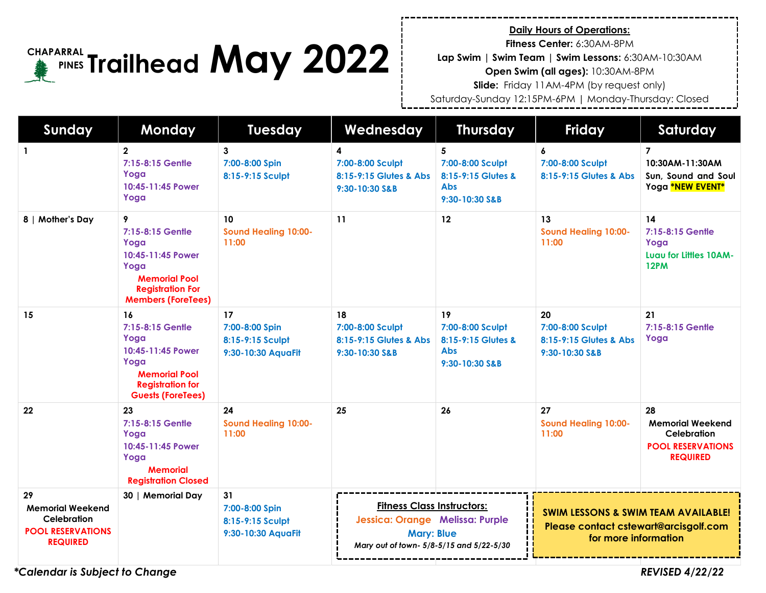#### **FIAPARRAL Trailhead May 2022 CHAPARRAL PINES**

**Daily Hours of Operations:**

**Fitness Center:** 6:30AM-8PM

**Lap Swim | Swim Team | Swim Lessons:** 6:30AM-10:30AM

**Open Swim (all ages):** 10:30AM-8PM

**Slide:** Friday 11AM-4PM (by request only)

Saturday-Sunday 12:15PM-6PM | Monday-Thursday: Closed

| Sunday                                                                                      | <b>Monday</b>                                                                                                                              | <b>Tuesday</b>                                                 | Wednesday                                                                                                                             | <b>Thursday</b>                                                              | <b>Friday</b>                                                                                                   | Saturday                                                                                    |
|---------------------------------------------------------------------------------------------|--------------------------------------------------------------------------------------------------------------------------------------------|----------------------------------------------------------------|---------------------------------------------------------------------------------------------------------------------------------------|------------------------------------------------------------------------------|-----------------------------------------------------------------------------------------------------------------|---------------------------------------------------------------------------------------------|
| $\mathbf{1}$                                                                                | $\mathbf{2}$<br>7:15-8:15 Gentle<br>Yoga<br>10:45-11:45 Power<br>Yoga                                                                      | 3<br>7:00-8:00 Spin<br>8:15-9:15 Sculpt                        | 4<br>7:00-8:00 Sculpt<br>8:15-9:15 Glutes & Abs<br>9:30-10:30 S&B                                                                     | 5<br>7:00-8:00 Sculpt<br>8:15-9:15 Glutes &<br><b>Abs</b><br>9:30-10:30 S&B  | 6<br>7:00-8:00 Sculpt<br>8:15-9:15 Glutes & Abs                                                                 | $\overline{7}$<br>10:30AM-11:30AM<br>Sun, Sound and Soul<br>Yoga *NEW EVENT*                |
| 8   Mother's Day                                                                            | 9<br>7:15-8:15 Gentle<br>Yoga<br>10:45-11:45 Power<br>Yoga<br><b>Memorial Pool</b><br><b>Registration For</b><br><b>Members (ForeTees)</b> | 10<br><b>Sound Healing 10:00-</b><br>11:00                     | 11                                                                                                                                    | 12                                                                           | 13<br><b>Sound Healing 10:00-</b><br>11:00                                                                      | 14<br>7:15-8:15 Gentle<br>Yoga<br>Lugu for Littles 10AM-<br><b>12PM</b>                     |
| 15                                                                                          | 16<br>7:15-8:15 Gentle<br>Yoga<br>10:45-11:45 Power<br>Yoga<br><b>Memorial Pool</b><br><b>Registration for</b><br><b>Guests (ForeTees)</b> | 17<br>7:00-8:00 Spin<br>8:15-9:15 Sculpt<br>9:30-10:30 AquaFit | 18<br>7:00-8:00 Sculpt<br>8:15-9:15 Glutes & Abs<br>9:30-10:30 S&B                                                                    | 19<br>7:00-8:00 Sculpt<br>8:15-9:15 Glutes &<br><b>Abs</b><br>9:30-10:30 S&B | 20<br>7:00-8:00 Sculpt<br>8:15-9:15 Glutes & Abs<br>9:30-10:30 S&B                                              | 21<br>7:15-8:15 Gentle<br>Yoga                                                              |
| 22                                                                                          | 23<br>7:15-8:15 Gentle<br>Yoga<br>10:45-11:45 Power<br>Yoga<br><b>Memorial</b><br><b>Registration Closed</b>                               | 24<br><b>Sound Healing 10:00-</b><br>11:00                     | 25                                                                                                                                    | 26                                                                           | 27<br><b>Sound Healing 10:00-</b><br>11:00                                                                      | 28<br><b>Memorial Weekend</b><br>Celebration<br><b>POOL RESERVATIONS</b><br><b>REQUIRED</b> |
| 29<br><b>Memorial Weekend</b><br>Celebration<br><b>POOL RESERVATIONS</b><br><b>REQUIRED</b> | 30   Memorial Day                                                                                                                          | 31<br>7:00-8:00 Spin<br>8:15-9:15 Sculpt<br>9:30-10:30 AquaFit | <b>Fitness Class Instructors:</b><br>Jessica: Orange Melissa: Purple<br><b>Mary: Blue</b><br>Mary out of town- 5/8-5/15 and 5/22-5/30 |                                                                              | <b>SWIM LESSONS &amp; SWIM TEAM AVAILABLE!</b><br>Please contact cstewart@arcisgolf.com<br>for more information |                                                                                             |

*\*Calendar is Subject to Change REVISED 4/22/22*